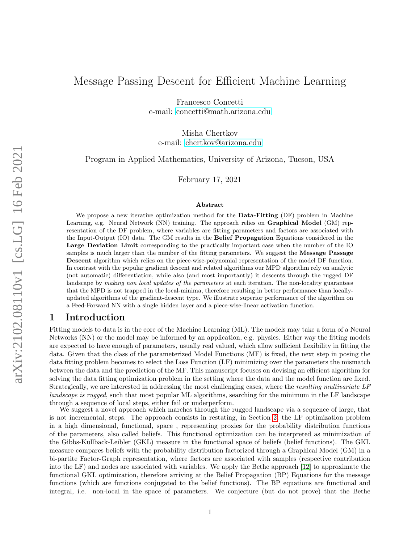Francesco Concetti e-mail: [concetti@math.arizona.edu](mailto:concetti@math.arizona.edu)

Misha Chertkov e-mail: [chertkov@arizona.edu](mailto:chertkov@arizona.edu)

<span id="page-0-0"></span>Program in Applied Mathematics, University of Arizona, Tucson, USA

February 17, 2021

#### Abstract

We propose a new iterative optimization method for the **Data-Fitting** (DF) problem in Machine Learning, e.g. Neural Network (NN) training. The approach relies on Graphical Model (GM) representation of the DF problem, where variables are fitting parameters and factors are associated with the Input-Output (IO) data. The GM results in the Belief Propagation Equations considered in the Large Deviation Limit corresponding to the practically important case when the number of the IO samples is much larger than the number of the fitting parameters. We suggest the Message Passage Descent algorithm which relies on the piece-wise-polynomial representation of the model DF function. In contrast with the popular gradient descent and related algorithms our MPD algorithm rely on analytic (not automatic) differentiation, while also (and most importantly) it descents through the rugged DF landscape by making non local updates of the parameters at each iteration. The non-locality guarantees that the MPD is not trapped in the local-minima, therefore resulting in better performance than locallyupdated algorithms of the gradient-descent type. We illustrate superior performance of the algorithm on a Feed-Forward NN with a single hidden layer and a piece-wise-linear activation function.

## 1 Introduction

Fitting models to data is in the core of the Machine Learning (ML). The models may take a form of a Neural Networks (NN) or the model may be informed by an application, e.g. physics. Either way the fitting models are expected to have enough of parameters, usually real valued, which allow sufficient flexibility in fitting the data. Given that the class of the parameterized Model Functions (MF) is fixed, the next step in posing the data fitting problem becomes to select the Loss Function (LF) minimizing over the parameters the mismatch between the data and the prediction of the MF. This manuscript focuses on devising an efficient algorithm for solving the data fitting optimization problem in the setting where the data and the model function are fixed. Strategically, we are interested in addressing the most challenging cases, where the resulting multivariate LF landscape is rugged, such that most popular ML algorithms, searching for the minimum in the LF landscape through a sequence of local steps, either fail or underperform.

We suggest a novel approach which marches through the rugged landscape via a sequence of large, that is not incremental, steps. The approach consists in restating, in Section [2,](#page-1-0) the LF optimization problem in a high dimensional, functional, space , representing proxies for the probability distribution functions of the parameters, also called beliefs. This functional optimization can be interpreted as minimization of the Gibbs-Kullback-Leibler (GKL) measure in the functional space of beliefs (belief functions). The GKL measure compares beliefs with the probability distribution factorized through a Graphical Model (GM) in a bi-partite Factor-Graph representation, where factors are associated with samples (respective contribution into the LF) and nodes are associated with variables. We apply the Bethe approach [\[12\]](#page-14-0) to approximate the functional GKL optimization, therefore arriving at the Belief Propagation (BP) Equations for the message functions (which are functions conjugated to the belief functions). The BP equations are functional and integral, i.e. non-local in the space of parameters. We conjecture (but do not prove) that the Bethe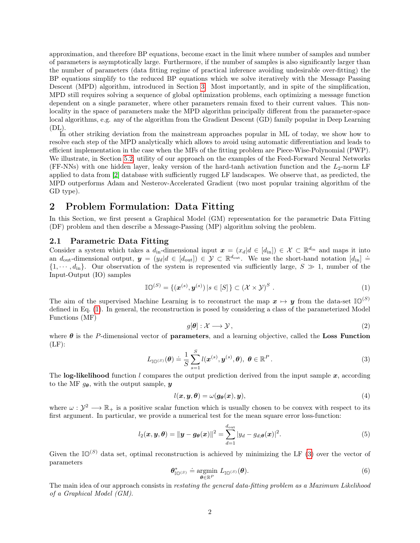approximation, and therefore BP equations, become exact in the limit where number of samples and number of parameters is asymptotically large. Furthermore, if the number of samples is also significantly larger than the number of parameters (data fitting regime of practical inference avoiding undesirable over-fitting) the BP equations simplify to the reduced BP equations which we solve iteratively with the Message Passing Descent (MPD) algorithm, introduced in Section [3.](#page-3-0) Most importantly, and in spite of the simplification, MPD still requires solving a sequence of global optimization problems, each optimizing a message function dependent on a single parameter, where other parameters remain fixed to their current values. This nonlocality in the space of parameters make the MPD algorithm principally different from the parameter-space local algorithms, e.g. any of the algorithm from the Gradient Descent (GD) family popular in Deep Learning  $(DL)$ .

In other striking deviation from the mainstream approaches popular in ML of today, we show how to resolve each step of the MPD analytically which allows to avoid using automatic differentiation and leads to efficient implementation in the case when the MFs of the fitting problem are Piece-Wise-Polynomial (PWP). We illustrate, in Section [5.2,](#page-9-0) utility of our approach on the examples of the Feed-Forward Neural Networks (FF-NNs) with one hidden layer, leaky version of the hard-tanh activation function and the  $L_2$ -norm LF applied to data from [\[2\]](#page-13-0) database with sufficiently rugged LF landscapes. We observe that, as predicted, the MPD outperforms Adam and Nesterov-Accelerated Gradient (two most popular training algorithm of the GD type).

# <span id="page-1-0"></span>2 Problem Formulation: Data Fitting

In this Section, we first present a Graphical Model (GM) representation for the parametric Data Fitting (DF) problem and then describe a Message-Passing (MP) algorithm solving the problem.

### 2.1 Parametric Data Fitting

Consider a system which takes a  $d_{\text{in}}$ -dimensional input  $\boldsymbol{x} = (x_d | d \in [d_{\text{in}}]) \in \mathcal{X} \subset \mathbb{R}^{d_{\text{in}}}$  and maps it into an  $d_{\text{out}}$ -dimensional output,  $y = (y_d | d \in [d_{\text{out}}]) \in \mathcal{Y} \subset \mathbb{R}^{d_{\text{out}}}$ . We use the short-hand notation  $[d_{\text{in}}] =$  $\{1, \dots, d_{\text{in}}\}.$  Our observation of the system is represented via sufficiently large,  $S \gg 1$ , number of the Input-Output (IO) samples

$$
\mathbb{IO}^{(S)} = \{(\boldsymbol{x}^{(s)}, \boldsymbol{y}^{(s)}) \, | \, s \in [S] \} \subset (\mathcal{X} \times \mathcal{Y})^S \; . \tag{1}
$$

The aim of the supervised Machine Learning is to reconstruct the map  $x \mapsto y$  from the data-set  $\mathbb{I}(\mathbb{O}^{(S)})$ defined in Eq. [\(1\)](#page-1-1). In general, the reconstruction is posed by considering a class of the parameterized Model Functions (MF)

<span id="page-1-5"></span><span id="page-1-4"></span><span id="page-1-1"></span>
$$
g[\boldsymbol{\theta}]: \mathcal{X} \longrightarrow \mathcal{Y},\tag{2}
$$

where  $\theta$  is the P-dimensional vector of **parameters**, and a learning objective, called the Loss Function  $(LF)$ :

<span id="page-1-2"></span>
$$
L_{\mathbb{IO}^{(S)}}(\boldsymbol{\theta}) \doteq \frac{1}{S} \sum_{s=1}^{S} l(\boldsymbol{x}^{(s)}, \boldsymbol{y}^{(s)}, \boldsymbol{\theta}), \ \boldsymbol{\theta} \in \mathbb{R}^{P} . \tag{3}
$$

The log-likelihood function l compares the output prediction derived from the input sample  $x$ , according to the MF  $g_{\theta}$ , with the output sample, y

$$
l(\boldsymbol{x}, \boldsymbol{y}, \boldsymbol{\theta}) = \omega(\boldsymbol{g}_{\boldsymbol{\theta}}(\boldsymbol{x}), \boldsymbol{y}), \tag{4}
$$

where  $\omega: \mathcal{Y}^2 \longrightarrow \mathbb{R}_+$  is a positive scalar function which is usually chosen to be convex with respect to its first argument. In particular, we provide a numerical test for the mean square error loss-function:

<span id="page-1-6"></span>
$$
l_2(\boldsymbol{x}, \boldsymbol{y}, \boldsymbol{\theta}) = \|\boldsymbol{y} - \boldsymbol{g}_{\boldsymbol{\theta}}(\boldsymbol{x})\|^2 = \sum_{d=1}^{d_{\text{out}}} |y_d - g_{d; \boldsymbol{\theta}}(\boldsymbol{x})|^2.
$$
 (5)

Given the  $\mathbb{ID}^{(S)}$  data set, optimal reconstruction is achieved by minimizing the LF [\(3\)](#page-1-2) over the vector of parameters

<span id="page-1-3"></span>
$$
\boldsymbol{\theta}_{\mathbb{I}\mathbb{O}^{(S)}}^* \doteq \underset{\boldsymbol{\theta}\in\mathbb{R}^P}{\operatorname{argmin}} L_{\mathbb{I}\mathbb{O}^{(S)}}(\boldsymbol{\theta}).\tag{6}
$$

The main idea of our approach consists in restating the general data-fitting problem as a Maximum Likelihood of a Graphical Model (GM).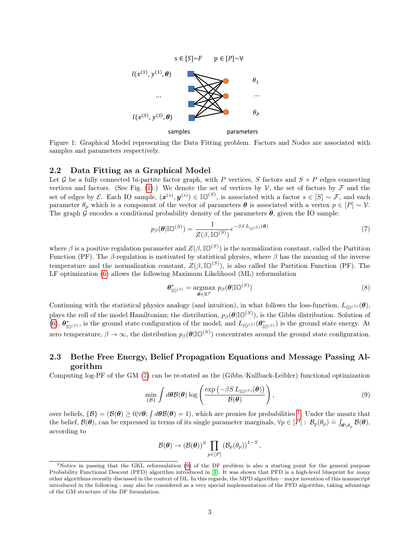

<span id="page-2-0"></span>Figure 1: Graphical Model representing the Data Fitting problem. Factors and Nodes are associated with samples and parameters respectively.

#### 2.2 Data Fitting as a Graphical Model

Let G be a fully connected bi-partite factor graph, with P vertices, S factors and  $S \times P$  edges connecting vertices and factors. (See Fig. [\(1\)](#page-2-0).) We denote the set of vertices by  $\mathcal V$ , the set of factors by  $\mathcal F$  and the set of edges by  $\mathcal{E}$ . Each IO sample,  $(\boldsymbol{x}^{(s)}, \boldsymbol{y}^{(s)}) \in \mathbb{IO}^{(S)}$ , is associated with a factor  $s \in [S] \sim \mathcal{F}$ , and each parameter  $\theta_p$  which is a component of the vector of parameters  $\theta$  is associated with a vertex  $p \in [P] \sim \mathcal{V}$ . The graph G encodes a conditional probability density of the parameters  $\theta$ , given the IO sample:

$$
p_{\beta}(\boldsymbol{\theta}|\mathbb{I}\mathbb{O}^{(S)}) = \frac{1}{Z(\beta,\mathbb{I}\mathbb{O}^{(S)})}e^{-\beta S L_{\mathbb{I}\mathbb{O}^{(S)}}(\boldsymbol{\theta})}
$$
(7)

where  $\beta$  is a positive regulation parameter and  $Z(\beta, \mathbb{IO}^{(S)})$  is the normalization constant, called the Partition Function (PF). The  $\beta$ -regulation is motivated by statistical physics, where  $\beta$  has the meaning of the inverse temperature and the normalization constant,  $Z(\beta, \mathbb{IO}^{(S)})$ , is also called the Partition Function (PF). The LF optimization [\(6\)](#page-1-3) allows the following Maximum Likelihood (ML) reformulation

<span id="page-2-1"></span>
$$
\boldsymbol{\theta}_{\mathbb{I}\mathbb{O}^{(S)}}^* = \underset{\boldsymbol{\theta} \in \mathbb{R}^P}{\operatorname{argmax}} \ p_{\beta}(\boldsymbol{\theta} | \mathbb{I}\mathbb{O}^{(S)}) \tag{8}
$$

Continuing with the statistical physics analogy (and intuition), in what follows the loss-function,  $L_{\mathbb{I}\cap(\mathcal{S})}(\theta)$ , plays the roll of the model Hamiltonian; the distribution,  $p_\beta(\theta | \mathbb{IO}^{(S)})$ , is the Gibbs distribution. Solution of [\(6\)](#page-1-3),  $\theta^*_{\mathbb{I}(\mathbb{O}(\mathcal{S}))}$  is the ground state configuration of the model, and  $L_{\mathbb{I}(\mathbb{O}(\mathcal{S}))}(\theta^*_{\mathbb{I}(\mathbb{O}(\mathcal{S}))})$  is the ground state energy. At zero temperature,  $\beta \to \infty$ , the distribution  $p_\beta(\theta|\mathbb{IO}^{(S)})$  concentrates around the ground state configuration.

## 2.3 Bethe Free Energy, Belief Propagation Equations and Message Passing Algorithm

Computing log-PF of the GM [\(7\)](#page-2-1) can be re-stated as the (Gibbs/Kullback-Leibler) functional optimization

$$
\min_{\{\mathcal{B}\}} \int d\boldsymbol{\theta} \mathcal{B}(\boldsymbol{\theta}) \log \left( \frac{\exp \left( -\beta S L_{\mathbb{IO}}(s) \left( \boldsymbol{\theta} \right) \right)}{\mathcal{B}(\boldsymbol{\theta})} \right), \tag{9}
$$

over beliefs,  $\{\mathcal{B}\} = (\mathcal{B}(\theta) \geq 0 | \forall \theta; \int d\theta \mathcal{B}(\theta) = 1)$  $\{\mathcal{B}\} = (\mathcal{B}(\theta) \geq 0 | \forall \theta; \int d\theta \mathcal{B}(\theta) = 1)$  $\{\mathcal{B}\} = (\mathcal{B}(\theta) \geq 0 | \forall \theta; \int d\theta \mathcal{B}(\theta) = 1)$ , which are proxies for probabilities <sup>1</sup>. Under the ansatz that the belief,  $\mathcal{B}(\theta)$ , can be expressed in terms of its single parameter marginals,  $\forall p \in [P] : \mathcal{B}_p(\theta_p) \doteq \int_{\theta \setminus \theta_p} \mathcal{B}(\theta)$ , according to

<span id="page-2-3"></span>
$$
\mathcal{B}(\boldsymbol{\theta}) \to (\mathcal{B}(\boldsymbol{\theta}))^S \prod_{p \in [P]} (\mathcal{B}_p(\theta_p))^{1-S},
$$

<span id="page-2-2"></span><sup>&</sup>lt;sup>1</sup>Notice in passing that the GKL reformulation [\(9\)](#page-2-3) of the DF problem is also a starting point for the general purpose Probability Functional Descent (PFD) algorithm introduced in [\[1\]](#page-13-1). It was shown that PFD is a high-level blueprint for many other algorithms recently discussed in the context of DL. In this regards, the MPD algorithm – major invention of this manuscript introduced in the following - may also be considered as a very special implementation of the PFD algorithm, taking advantage of the GM structure of the DF formulation.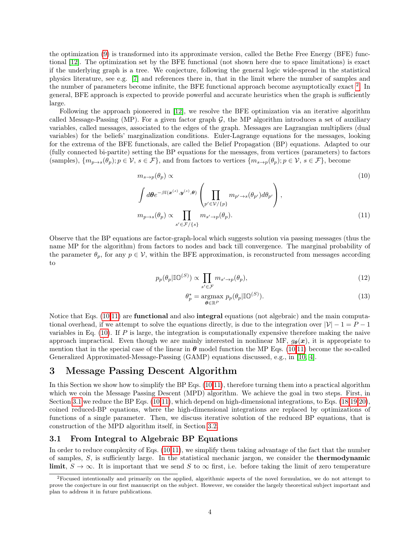the optimization [\(9\)](#page-2-3) is transformed into its approximate version, called the Bethe Free Energy (BFE) functional [\[12\]](#page-14-0). The optimization set by the BFE functional (not shown here due to space limitations) is exact if the underlying graph is a tree. We conjecture, following the general logic wide-spread in the statistical physics literature, see e.g. [\[7\]](#page-13-2) and references there in, that in the limit where the number of samples and the number of parameters become infinite, the BFE functional approach become asymptotically exact  $^2$  $^2$ . In general, BFE approach is expected to provide powerful and accurate heuristics when the graph is sufficiently large.

Following the approach pioneered in [\[12\]](#page-14-0), we resolve the BFE optimization via an iterative algorithm called Message-Passing (MP). For a given factor graph  $G$ , the MP algorithm introduces a set of auxiliary variables, called messages, associated to the edges of the graph. Messages are Lagrangian multipliers (dual variables) for the beliefs' marginalization conditions. Euler-Lagrange equations for the messages, looking for the extrema of the BFE functionals, are called the Belief Propagation (BP) equations. Adapted to our (fully connected bi-partite) setting the BP equations for the messages, from vertices (parameters) to factors (samples),  $\{m_{p\to s}(\theta_p); p \in V, s \in \mathcal{F}\}\$ , and from factors to vertices  $\{m_{s\to p}(\theta_p); p \in V, s \in \mathcal{F}\}\$ , become

$$
m_{s \to p}(\theta_p) \propto
$$
\n
$$
\int d\theta e^{-\beta l(\boldsymbol{x}^{(s)}, \boldsymbol{y}^{(s)}, \theta)} \left( \prod_{p' \in \mathcal{V}/\{p\}} m_{p' \to s}(\theta_{p'}) d\theta_{p'} \right),
$$
\n
$$
m_{p \to s}(\theta_p) \propto \prod_{s' \in \mathcal{F}/\{s\}} m_{s' \to p}(\theta_p).
$$
\n(11)

Observe that the BP equations are factor-graph-local which suggests solution via passing messages (thus the name MP for the algorithm) from factors to nodes and back till convergence. The marginal probability of the parameter  $\theta_p$ , for any  $p \in V$ , within the BFE approximation, is reconstructed from messages according to

$$
p_p(\theta_p | \mathbb{IO}^{(S)}) \propto \prod_{s' \in \mathcal{F}} m_{s' \to p}(\theta_p), \tag{12}
$$

<span id="page-3-3"></span><span id="page-3-2"></span>
$$
\theta_p^* = \underset{\boldsymbol{\theta} \in \mathbb{R}^P}{\operatorname{argmax}} \ p_p(\theta_p | \mathbb{IO}^{(S)}). \tag{13}
$$

Notice that Eqs. [\(10,](#page-3-2)[11\)](#page-3-3) are functional and also integral equations (not algebraic) and the main computational overhead, if we attempt to solve the equations directly, is due to the integration over  $|\mathcal{V}| - 1 = P - 1$ variables in Eq. [\(10\)](#page-3-2). If P is large, the integration is computationally expensive therefore making the naive approach impractical. Even though we are mainly interested in nonlinear MF,  $g_{\theta}(x)$ , it is appropriate to mention that in the special case of the linear in  $\theta$  model function the MP Eqs. [\(10](#page-3-2)[,11\)](#page-3-3) become the so-called Generalized Approximated-Message-Passing (GAMP) equations discussed, e.g., in [\[10,](#page-13-3) [4\]](#page-13-4).

# <span id="page-3-0"></span>3 Message Passing Descent Algorithm

In this Section we show how to simplify the BP Eqs. [\(10,](#page-3-2)[11\)](#page-3-3), therefore turning them into a practical algorithm which we coin the Message Passing Descent (MPD) algorithm. We achieve the goal in two steps. First, in Section [3.1](#page-3-4) we reduce the BP Eqs. [\(10,](#page-3-2)[11\)](#page-3-3), which depend on high-dimensional integrations, to Eqs. [\(18,](#page-4-0)[19,](#page-4-1)[20\)](#page-4-2), coined reduced-BP equations, where the high-dimensional integrations are replaced by optimizations of functions of a single parameter. Then, we discuss iterative solution of the reduced BP equations, that is construction of the MPD algorithm itself, in Section [3.2.](#page-5-0)

## <span id="page-3-4"></span>3.1 From Integral to Algebraic BP Equations

In order to reduce complexity of Eqs. [\(10,](#page-3-2)[11\)](#page-3-3), we simplify them taking advantage of the fact that the number of samples, S, is sufficiently large. In the statistical mechanic jargon, we consider the thermodynamic limit,  $S \to \infty$ . It is important that we send S to  $\infty$  first, i.e. before taking the limit of zero temperature

<span id="page-3-1"></span><sup>2</sup>Focused intentionally and primarily on the applied, algorithmic aspects of the novel formulation, we do not attempt to prove the conjecture in our first manuscript on the subject. However, we consider the largely theoretical subject important and plan to address it in future publications.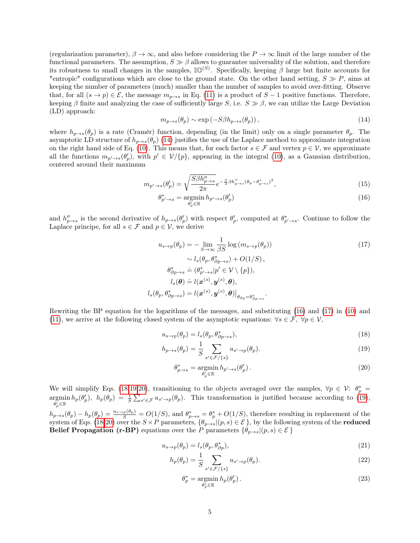(regularization parameter),  $\beta \to \infty$ , and also before considering the  $P \to \infty$  limit of the large number of the functional parameters. The assumption,  $S \gg \beta$  allows to guarantee universality of the solution, and therefore its robustness to small changes in the samples,  $\mathbb{IO}^{(S)}$ . Specifically, keeping  $\beta$  large but finite accounts for "entropic" configurations which are close to the ground state. On the other hand setting,  $S \gg P$ , aims at keeping the number of parameters (much) smaller than the number of samples to avoid over-fitting. Observe that, for all  $(s \to p) \in \mathcal{E}$ , the message  $m_{p\to s}$  in Eq. [\(11\)](#page-3-3) is a product of  $S-1$  positive functions. Therefore, keeping β finite and analyzing the case of sufficiently large S, i.e.  $S \gg \beta$ , we can utilize the Large Deviation (LD) approach:

<span id="page-4-3"></span>
$$
m_{p \to s}(\theta_p) \sim \exp(-S\beta h_{p \to s}(\theta_p)),\tag{14}
$$

where  $h_{p\to s}(\theta_p)$  is a rate (Cramér) function, depending (in the limit) only on a single parameter  $\theta_p$ . The asymptotic LD structure of  $h_{p\to s}(\theta_p)$  [\(14\)](#page-4-3) justifies the use of the Laplace method to approximate integration on the right hand side of Eq. [\(10\)](#page-3-2). This means that, for each factor  $s \in \mathcal{F}$  and vertex  $p \in \mathcal{V}$ , we approximate all the functions  $m_{p'\to s}(\theta_p')$ , with  $p' \in \mathcal{V}/\{p\}$ , appearing in the integral [\(10\)](#page-3-2), as a Gaussian distribution, centered around their maximum

$$
m_{p' \to s}(\theta_p') = \sqrt{\frac{S\beta h_{p \to s}''}{2\pi}} e^{-\frac{S}{2}\beta h_{p \to s}''(\theta_p - \theta_{p \to s}^*)^2},\tag{15}
$$

<span id="page-4-5"></span><span id="page-4-4"></span>
$$
\theta_{p' \to s}^* = \underset{\theta_p' \in \mathbb{R}}{\operatorname{argmin}} h_{p' \to s}(\theta_p') \tag{16}
$$

and  $h''_{p\to s}$  is the second derivative of  $h_{p\to s}(\theta_p)$  with respect  $\theta_p'$ , computed at  $\theta_{p'\to s}^*$ . Continue to follow the Laplace principe, for all  $s \in \mathcal{F}$  and  $p \in \mathcal{V}$ , we derive

$$
u_{s \to p}(\theta_p) = -\lim_{S \to \infty} \frac{1}{\beta S} \log (m_{s \to p}(\theta_p))
$$
  
\n
$$
\sim l_s(\theta_p, \theta_{\partial p \to s}^*) + O(1/S),
$$
  
\n
$$
\theta_{\partial p \to s}^* = (\theta_{p' \to s}^* | p' \in \mathcal{V} \setminus \{p\}),
$$
  
\n
$$
l_s(\theta) = l(\mathbf{x}^{(s)}, \mathbf{y}^{(s)}, \theta),
$$
  
\n
$$
l_s(\theta_p, \theta_{\partial p \to s}^*) = l(\mathbf{x}^{(s)}, \mathbf{y}^{(s)}, \theta)|_{\theta_{\partial p} = \theta_{\partial p \to s}^*}.
$$
  
\n(17)

Rewriting the BP equation for the logarithms of the messages, and substituting [\(16\)](#page-4-4) and [\(17\)](#page-4-5) in [\(10\)](#page-3-2) and [\(11\)](#page-3-3), we arrive at the following closed system of the asymptotic equations:  $\forall s \in \mathcal{F}, \forall p \in \mathcal{V},$ 

$$
u_{s \to p}(\theta_p) = l_s(\theta_p, \theta_{\partial p \to s}^*),\tag{18}
$$

$$
h_{p \to s}(\theta_p) = \frac{1}{S} \sum_{s' \in \mathcal{F}/\{s\}} u_{s' \to p}(\theta_p).
$$
 (19)

<span id="page-4-2"></span><span id="page-4-1"></span><span id="page-4-0"></span>
$$
\theta_{p \to s}^* = \underset{\theta_p' \in \mathbb{R}}{\operatorname{argmin}} h_{p' \to s}(\theta_p'). \tag{20}
$$

We will simplify Eqs. [\(18](#page-4-0)[,19,](#page-4-1)[20\)](#page-4-2), transitioning to the objects averaged over the samples,  $\forall p \in \mathcal{V}$ :  $\theta_p^* =$  $\operatorname*{argmin}_{p} h_p(\theta'_p), h_p(\theta_p) = \frac{1}{S} \sum_{s' \in \mathcal{F}} u_{s' \to p}(\theta_p).$  This transformation is justified because according to [\(19\)](#page-4-1),  $\breve{\theta'_{p}} \in \mathbb{R}$ 

 $h_{p\to s}(\theta_p) - h_p(\theta_p) = \frac{u_{s\to p}(\theta_p)}{S} = O(1/S)$ , and  $\theta_{p\to s}^* = \theta_p^* + O(1/S)$ , therefore resulting in replacement of the system of Eqs. [\(18](#page-4-0)[-20\)](#page-4-2) over the  $S \times P$  parameters,  $\{\theta_{p\to s}|(p, s) \in \mathcal{E}\}\,$ , by the following system of the **reduced** Belief Propagation (r-BP) equations over the P parameters  $\{\theta_{p\to s}|(p, s) \in \mathcal{E}\}\$ 

$$
u_{s \to p}(\theta_p) = l_s(\theta_p, \theta_{\partial p}^*),\tag{21}
$$

$$
h_p(\theta_p) = \frac{1}{S} \sum_{s' \in \mathcal{F}/\{s\}} u_{s' \to p}(\theta_p).
$$
 (22)

<span id="page-4-8"></span><span id="page-4-7"></span><span id="page-4-6"></span>
$$
\theta_p^* = \underset{\theta_p' \in \mathbb{R}}{\operatorname{argmin}} h_p(\theta_p'). \tag{23}
$$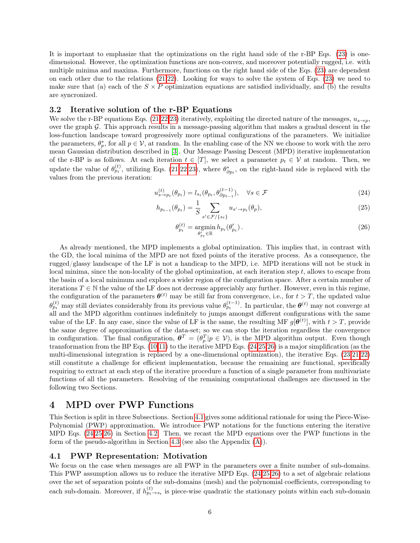It is important to emphasize that the optimizations on the right hand side of the r-BP Eqs. [\(23\)](#page-4-6) is onedimensional. However, the optimization functions are non-convex, and moreover potentially rugged, i.e. with multiple minima and maxima. Furthermore, functions on the right hand side of the Eqs. [\(23\)](#page-4-6) are dependent on each other due to the relations [\(21,](#page-4-7)[22\)](#page-4-8). Looking for ways to solve the system of Eqs. [\(23\)](#page-4-6) we need to make sure that (a) each of the  $S \times P$  optimization equations are satisfied individually, and (b) the results are syncronized.

### <span id="page-5-0"></span>3.2 Iterative solution of the r-BP Equations

We solve the r-BP equations Eqs. [\(21,](#page-4-7)[22,](#page-4-8)[23\)](#page-4-6) iteratively, exploiting the directed nature of the messages,  $u_{s\rightarrow p}$ , over the graph  $\mathcal{G}$ . This approach results in a message-passing algorithm that makes a gradual descent in the loss-function landscape toward progressively more optimal configurations of the parameters. We initialize the parameters,  $\theta_p^*$ , for all  $p \in V$ , at random. In the enabling case of the NN we choose to work with the zero mean Gaussian distribution described in [\[3\]](#page-13-5). Our Message Passing Descent (MPD) iterative implementation of the r-BP is as follows. At each iteration  $t \in [T]$ , we select a parameter  $p_t \in \mathcal{V}$  at random. Then, we update the value of  $\theta_{p_t}^{(t)}$ , utilizing Eqs. [\(21,](#page-4-7)[22,](#page-4-8)[23\)](#page-4-6), where  $\theta_{\partial p_t}^*$ , on the right-hand side is replaced with the values from the previous iteration:

$$
u_{s \to p_t}^{(t)}(\theta_{p_t}) = l_{s_t}(\theta_{p_t}, \theta_{\partial p_{t-1}}^{(t-1)}), \quad \forall s \in \mathcal{F}
$$
\n
$$
(24)
$$

$$
h_{p_{t-1}}(\theta_{p_t}) = \frac{1}{S} \sum_{s' \in \mathcal{F}/\{s_t\}} u_{s' \to p_t}(\theta_p),\tag{25}
$$

<span id="page-5-3"></span><span id="page-5-2"></span><span id="page-5-1"></span>
$$
\theta_{p_t}^{(t)} = \underset{\theta_{p_t}^{\prime} \in \mathbb{R}}{\operatorname{argmin}} h_{p_t}(\theta_{p_t}^{\prime}). \tag{26}
$$

As already mentioned, the MPD implements a global optimization. This implies that, in contrast with the GD, the local minima of the MPD are not fixed points of the iterative process. As a consequence, the rugged/glassy landscape of the LF is not a handicap to the MPD, i.e. MPD iterations will not be stuck in local minima, since the non-locality of the global optimization, at each iteration step  $t$ , allows to escape from the basin of a local minimum and explore a wider region of the configuration space. After a certain number of iterations  $T \in \mathbb{N}$  the value of the LF does not decrease appreciably any further. However, even in this regime, the configuration of the parameters  $\theta^{(t)}$  may be still far from convergence, i.e., for  $t > T$ , the updated value  $\theta_{p_t}^{(t)}$  may still deviates considerably from its previous value  $\theta_{p_t}^{(t-1)}$ . In particular, the  $\theta^{(t)}$  may not converge at all and the MPD algorithm continues indefinitely to jumps amongst different configurations with the same value of the LF. In any case, since the value of LF is the same, the resulting MF  $g[\theta^{(t)}]$ , with  $t > T$ , provide the same degree of approximation of the data-set; so we can stop the iteration regardless the convergence in configuration. The final configuration,  $\theta^T = (\theta_p^T | p \in V)$ , is the MPD algorithm output. Even though transformation from the BP Eqs. [\(10,](#page-3-2)[11\)](#page-3-3) to the iterative MPD Eqs. [\(24,](#page-5-1)[25,](#page-5-2)[26\)](#page-5-3) is a major simplification (as the multi-dimensional integration is replaced by a one-dimensional optimization), the iterative Eqs. [\(23,](#page-4-6)[21,](#page-4-7)[22\)](#page-4-8) still constitute a challenge for efficient implementation, because the remaining are functional, specifically requiring to extract at each step of the iterative procedure a function of a single parameter from multivariate functions of all the parameters. Resolving of the remaining computational challenges are discussed in the following two Sections.

## <span id="page-5-5"></span>4 MPD over PWP Functions

This Section is split in three Subsections. Section [4.1](#page-5-4) gives some additional rationale for using the Piece-Wise-Polynomial (PWP) approximation. We introduce PWP notations for the functions entering the iterative MPD Eqs. [\(24,](#page-5-1)[25,](#page-5-2)[26\)](#page-5-3) in Section [4.2.](#page-6-0) Then, we recast the MPD equations over the PWP functions in the form of the pseudo-algorithm in Section [4.3](#page-6-1) (see also the Appendix [\(A\)](#page-12-0)).

### <span id="page-5-4"></span>4.1 PWP Representation: Motivation

We focus on the case when messages are all PWP in the parameters over a finite number of sub-domains. This PWP assumption allows us to reduce the iterative MPD Eqs. [\(24](#page-5-1)[,25,](#page-5-2)[26\)](#page-5-3) to a set of algebraic relations over the set of separation points of the sub-domains (mesh) and the polynomial coefficients, corresponding to each sub-domain. Moreover, if  $h_{p_t \to s_t}^{(t)}$  is piece-wise quadratic the stationary points within each sub-domain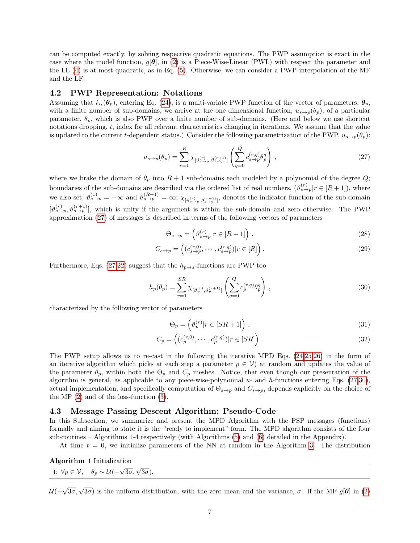can be computed exactly, by solving respective quadratic equations. The PWP assumption is exact in the case where the model function,  $g[\theta]$ , in [\(2\)](#page-1-4) is a Piece-Wise-Linear (PWL) with respect the parameter and the LL [\(4\)](#page-1-5) is at most quadratic, as in Eq. [\(5\)](#page-1-6). Otherwise, we can consider a PWP interpolation of the MF and the LF.

#### <span id="page-6-0"></span>4.2 PWP Representation: Notations

Assuming that  $l_{s_t}(\theta_p)$ , entering Eq. [\(24\)](#page-5-1), is a multi-variate PWP function of the vector of parameters,  $\theta_p$ , with a finite number of sub-domains, we arrive at the one dimensional function,  $u_{s\to p}(\theta_p)$ , of a particular parameter,  $\theta_p$ , which is also PWP over a finite number of sub-domains. (Here and below we use shortcut notations dropping, t, index for all relevant characteristics changing in iterations. We assume that the value is updated to the current t-dependent status.) Consider the following parametrization of the PWP,  $u_{s\to p}(\theta_p)$ :

$$
u_{s \to p}(\theta_p) = \sum_{r=1}^{R} \chi_{\left[\vartheta_{s \to p}^{(r)}, \vartheta_{s \to p}^{(r+1)}\right]} \left(\sum_{q=0}^{Q} c_{s \to p}^{(r,q)} \theta_p^q\right) ,\qquad (27)
$$

where we brake the domain of  $\theta_p$  into  $R + 1$  sub-domains each modeled by a polynomial of the degree  $Q$ ; boundaries of the sub-domains are described via the ordered list of real numbers,  $(\vartheta_{s\to p}^{(r)} | r \in [R+1])$ , where we also set,  $\vartheta_{s\to p}^{(1)} = -\infty$  and  $\vartheta_{s\to p}^{(R+1)} = \infty$ ;  $\chi_{\vartheta_{s\to p}^{(r)}\vartheta_{s\to p}^{(r+1)}}$ , denotes the indicator function of the sub-domain  $[\vartheta_{s\to p}^{(r)}, \vartheta_{s\to p}^{(r+1)}]$ , which is unity if the argument is within the sub-domain and zero otherwise. The PWP approximation [\(27\)](#page-6-2) of messages is described in terms of the following vectors of parameters

<span id="page-6-2"></span>
$$
\Theta_{s \to p} = \left(\vartheta_{s \to p}^{(r)} | r \in [R+1]\right),\tag{28}
$$

$$
C_{s \to p} = \left( (c_{s \to p}^{(r,0)}, \cdots, c_{s \to p}^{(r,q)}) \middle| r \in [R] \right). \tag{29}
$$

Furthermore, Eqs. [\(27](#page-6-2)[,22\)](#page-4-8) suggest that the  $h_{p\rightarrow s}$ -functions are PWP too

$$
h_p(\theta_p) = \sum_{r=1}^{SR} \chi_{\left[\vartheta_p^{(r)}, \vartheta_p^{(r+1)}\right]} \left(\sum_{q=0}^{Q} c_p^{(r,q)} \theta_p^q\right),\tag{30}
$$

characterized by the following vector of parameters

<span id="page-6-3"></span>
$$
\Theta_p = \left(\vartheta_p^{(r)} | r \in [SR+1] \right) ,\tag{31}
$$

$$
C_p = \left( (c_p^{(r,0)}, \cdots, c_p^{(r,q)}) | r \in [SR] \right). \tag{32}
$$

The PWP setup allows us to re-cast in the following the iterative MPD Eqs. [\(24,](#page-5-1)[25,](#page-5-2)[26\)](#page-5-3) in the form of an iterative algorithm which picks at each step a parameter  $p \in V$  at random and updates the value of the parameter  $\theta_p$ , within both the  $\Theta_p$  and  $C_p$  meshes. Notice, that even though our presentation of the algorithm is general, as applicable to any piece-wise-polynomial  $u$ - and  $h$ -functions entering Eqs. [\(27,](#page-6-2)[30\)](#page-6-3), actual implementation, and specifically computation of  $\Theta_{s\to p}$  and  $C_{s\to p}$ , depends explicitly on the choice of the MF [\(2\)](#page-1-4) and of the loss-function [\(3\)](#page-1-2).

### <span id="page-6-1"></span>4.3 Message Passing Descent Algorithm: Pseudo-Code

In this Subsection, we summarize and present the MPD Algorithm with the PSP messages (functions) formally and aiming to state it is the "ready to implement" form. The MPD algorithm consists of the four sub-routines – Algorithms 1-4 respectively (with Algorithms [\(5\)](#page-12-1) and [\(6\)](#page-13-6) detailed in the Appendix).

At time  $t = 0$ , we initialize parameters of the NN at random in the Algorithm [3.](#page-12-2) The distribution

| Algorithm 1 Initialization |                                                                                                   |
|----------------------------|---------------------------------------------------------------------------------------------------|
|                            | 1: $\forall p \in \mathcal{V}, \quad \theta_p \sim \mathcal{U}(-\sqrt{3\sigma}, \sqrt{3\sigma}).$ |

 $\mathcal{U}( \sqrt{3\sigma}$ ,  $\sqrt{3\sigma}$ ) is the uniform distribution, with the zero mean and the variance,  $\sigma$ . If the MF  $g[\theta]$  in [\(2\)](#page-1-4)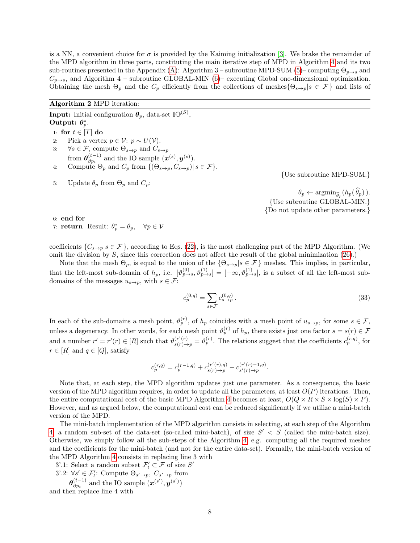is a NN, a convenient choice for  $\sigma$  is provided by the Kaiming initialization [\[3\]](#page-13-5). We brake the remainder of the MPD algorithm in three parts, constituting the main iterative step of MPD in Algorithm [4](#page-12-3) and its two sub-routines presented in the Appendix [\(A\)](#page-12-0): Algorithm 3 – subroutine MPD-SUM [\(5\)](#page-12-1)– computing  $\Theta_{p\to s}$  and  $C_{p\rightarrow s}$ , and Algorithm 4 – subroutine GLOBAL-MIN [\(6\)](#page-13-6)– executing Global one-dimensional optimization. Obtaining the mesh  $\Theta_p$  and the  $C_p$  efficiently from the collections of meshes $\{\Theta_{s\to p}|s\in\mathcal{F}\}\$  and lists of

Algorithm 2 MPD iteration:

**Input:** Initial configuration  $\boldsymbol{\theta}_p$ , data-set  $\mathbb{IO}^{(S)}$ , Output:  $\theta_p^*$ . 1: for  $t \in [T]$  do 2: Pick a vertex  $p \in \mathcal{V}$ :  $p \sim U(\mathcal{V})$ . 3:  $\forall s \in \mathcal{F}$ , compute  $\Theta_{s \to p}$  and  $C_{s \to p}$ from  $\boldsymbol{\theta}_{\partial n}^{(t-1)}$  $\overset{(t-1)}{\partial p_i}$  and the IO sample  $(\mathbf{x}^{(s)}, \mathbf{y}^{(s)})$ . 4: Compute  $\Theta_p$  and  $C_p$  from  $\{(\Theta_{s\to p}, C_{s\to p}) | s \in \mathcal{F}\}.$ 

5: Update  $\theta_p$  from  $\Theta_p$  and  $C_p$ :

{Use subroutine MPD-SUM.}

 $\theta_p \leftarrow \operatorname{argmin}_{\widehat{\theta}_p} (h_p(\theta_p)).$ {Use subroutine GLOBAL-MIN.} {Do not update other parameters.}

6: end for 7: **return** Result:  $\theta_p^* = \theta_p$ ,  $\forall p \in \mathcal{V}$ 

coefficients  $\{C_{s\to p}|s\in\mathcal{F}\}\,$ , according to Eqs. [\(22\)](#page-4-8), is the most challenging part of the MPD Algorithm. (We omit the division by  $S$ , since this correction does not affect the result of the global minimization  $(26)$ .)

Note that the mesh  $\Theta_p$ , is equal to the union of the  $\{\Theta_{s\to p}|s\in\mathcal{F}\}\$  meshes. This implies, in particular, that the left-most sub-domain of  $h_p$ , i.e.  $[\vartheta_{p\to s}^{(0)}, \vartheta_{p\to s}^{(1)}] = [-\infty, \vartheta_{p\to s}^{(1)}]$ , is a subset of all the left-most subdomains of the messages  $u_{s\to p}$ , with  $s \in \mathcal{F}$ :

$$
c_p^{(0,q)} = \sum_{s \in \mathcal{F}} c_{s \to p}^{(0,q)} \,. \tag{33}
$$

In each of the sub-domains a mesh point,  $\vartheta_p^{(r)}$ , of  $h_p$  coincides with a mesh point of  $u_{s\to p}$ , for some  $s \in \mathcal{F}$ , unless a degeneracy. In other words, for each mesh point  $\vartheta_p^{(r)}$  of  $h_p$ , there exists just one factor  $s = s(r) \in \mathcal{F}$ and a number  $r' = r'(r) \in [R]$  such that  $\vartheta_{s(r) \to p}^{(r'(r)} = \vartheta_p^{(r)}$ . The relations suggest that the coefficients  $c_p^{(r,q)}$ , for  $r \in [R]$  and  $q \in [Q]$ , satisfy

$$
c_p^{(r,q)} = c_p^{(r-1,q)} + c_{s(r)\to p}^{(r'(r),q)} - c_{s'(r)\to p}^{(r'(r)-1,q)}.
$$

Note that, at each step, the MPD algorithm updates just one parameter. As a consequence, the basic version of the MPD algorithm requires, in order to update all the parameters, at least  $O(P)$  iterations. Then, the entire computational cost of the basic MPD Algorithm [4](#page-12-3) becomes at least,  $O(Q \times R \times S \times \log(S) \times P)$ . However, and as argued below, the computational cost can be reduced significantly if we utilize a mini-batch version of the MPD.

The mini-batch implementation of the MPD algorithm consists in selecting, at each step of the Algorithm [4,](#page-12-3) a random sub-set of the data-set (so-called mini-batch), of size  $S' < S$  (called the mini-batch size). Otherwise, we simply follow all the sub-steps of the Algorithm [4,](#page-12-3) e.g. computing all the required meshes and the coefficients for the mini-batch (and not for the entire data-set). Formally, the mini-batch version of the MPD Algorithm [4](#page-12-3) consists in replacing line 3 with

3'.1: Select a random subset  $\mathcal{F}'_t \subset \mathcal{F}$  of size  $S'$ 

3'.2:  $\forall s' \in \mathcal{F}'_t$ : Compute  $\Theta_{s' \to p}$ ,  $C_{s' \to p}$  from

 $\bm{\theta}_{\partial n_{\star}}^{(t-1)}$  $\overset{(t-1)}{\partial p_t}$  and the IO sample  $(\mathbf{x}^{(s')}, \mathbf{y}^{(s')})$ and then replace line 4 with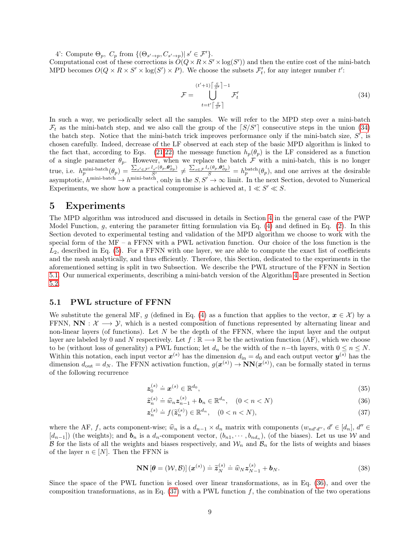4': Compute  $\Theta_p$ ,  $C_p$  from  $\{(\Theta_{s' \to p}, C_{s' \to p}) | s' \in \mathcal{F}'\}.$ 

Computational cost of these corrections is  $O(Q \times R \times S' \times \log(S'))$  and then the entire cost of the mini-batch MPD becomes  $O(Q \times R \times S' \times \log(S') \times P)$ . We choose the subsets  $\mathcal{F}'_t$ , for any integer number t':

<span id="page-8-0"></span>
$$
\mathcal{F} = \bigcup_{t=t' \lceil \frac{S}{S'} \rceil}^{(t'+1)\lceil \frac{S}{S'} \rceil - 1} \mathcal{F}'_t \tag{34}
$$

In such a way, we periodically select all the samples. We will refer to the MPD step over a mini-batch  $\mathcal{F}_t$  as the mini-batch step, and we also call the group of the  $\lceil S/S' \rceil$  consecutive steps in the union [\(34\)](#page-8-0) the batch step. Notice that the mini-batch trick improves performance only if the mini-batch size,  $S'$ , is chosen carefully. Indeed, decrease of the LF observed at each step of the basic MPD algorithm is linked to the fact that, according to Eqs. [\(21,](#page-4-7)[22\)](#page-4-8) the message function  $h_p(\theta_p)$  is the LF considered as a function of a single parameter  $\theta_p$ . However, when we replace the batch F with a mini-batch, this is no longer true, i.e.  $h_p^{\text{mini-batch}}(\theta_p) = \frac{\sum_{s' \in \mathcal{F}'} l_{s'}(\theta_p, \theta_{\partial p}^*)}{S'} \neq \frac{\sum_{s \in \mathcal{F}} l_s(\theta_p, \theta_{\partial p}^*)}{S} = h_p^{\text{batch}}(\theta_p)$ , and one arrives at the desirable asymptotic,  $h^{\text{mini-batch}} \to h^{\text{mini-batch}}$ , only in the  $S, S' \to \infty$  limit. In the next Section, devoted to Numerical Experiments, we show how a practical compromise is achieved at,  $1 \ll S' \ll S$ .

### 5 Experiments

The MPD algorithm was introduced and discussed in details in Section [4](#page-5-5) in the general case of the PWP Model Function, g, entering the parameter fitting formulation via Eq.  $(4)$  and defined in Eq.  $(2)$ . In this Section devoted to experimental testing and validation of the MPD algorithm we choose to work with the special form of the MF – a FFNN with a PWL activation function. Our choice of the loss function is the  $L_2$ , described in Eq. [\(5\)](#page-1-6). For a FFNN with one layer, we are able to compute the exact list of coefficients and the mesh analytically, and thus efficiently. Therefore, this Section, dedicated to the experiments in the aforementioned setting is split in two Subsection. We describe the PWL structure of the FFNN in Section [5.1.](#page-8-1) Our numerical experiments, describing a mini-batch version of the Algorithm [4](#page-12-3) are presented in Section [5.2.](#page-9-0)

#### <span id="page-8-1"></span>5.1 PWL structure of FFNN

We substitute the general MF, g (defined in Eq. [\(4\)](#page-1-5) as a function that applies to the vector,  $x \in \mathcal{X}$ ) by a FFNN,  $NN : \mathcal{X} \longrightarrow \mathcal{Y}$ , which is a nested composition of functions represented by alternating linear and non-linear layers (of functions). Let  $N$  be the depth of the FFNN, where the input layer and the output layer are labeled by 0 and N respectively. Let  $f : \mathbb{R} \longrightarrow \mathbb{R}$  be the activation function (AF), which we choose to be (without loss of generality) a PWL function; let  $d_n$  be the width of the n−th layers, with  $0 \leq n \leq N$ . Within this notation, each input vector  $x^{(s)}$  has the dimension  $d_{\text{in}} = d_0$  and each output vector  $y^{(s)}$  has the dimension  $d_{\text{out}} = d_N$ . The FFNN activation function,  $g(\mathbf{x}^{(s)}) \to \mathbf{NN}(\mathbf{x}^{(s)})$ , can be formally stated in terms of the following recurrence

<span id="page-8-4"></span>
$$
\boldsymbol{z}_0^{(s)} \doteq \boldsymbol{x}^{(s)} \in \mathbb{R}^{d_0},\tag{35}
$$

<span id="page-8-3"></span><span id="page-8-2"></span>
$$
\widetilde{\mathbf{z}}_n^{(s)} \doteq \widehat{w}_n \mathbf{z}_{n-1}^{(s)} + \mathbf{b}_n \in \mathbb{R}^{d_n}, \quad (0 < n < N) \tag{36}
$$

<span id="page-8-5"></span>
$$
\mathbf{z}_n^{(s)} \doteq f(\widetilde{\mathbf{z}}_n^{(s)}) \in \mathbb{R}^{d_n}, \quad (0 < n < N), \tag{37}
$$

where the AF, f, acts component-wise;  $\hat{w}_n$  is a  $d_{n-1} \times d_n$  matrix with components  $(w_{nd'd''}, d' \in [d_n], d'' \in$  $[d_{n-1}]$  (the weights); and  $b_n$  is a  $d_n$ -component vector,  $(b_{n1}, \dots, b_{nd_n})$ , (of the biases). Let us use W and B for the lists of all the weights and biases respectively, and  $\mathcal{W}_n$  and  $\mathcal{B}_n$  for the lists of weights and biases of the layer  $n \in [N]$ . Then the FFNN is

$$
\mathbf{NN}\left[\boldsymbol{\theta}=(\mathcal{W},\mathcal{B})\right](\boldsymbol{x}^{(s)})\doteq\widetilde{\boldsymbol{z}}_{N}^{(s)}\doteq\widehat{w}_{N}\boldsymbol{z}_{N-1}^{(s)}+\boldsymbol{b}_{N}.\tag{38}
$$

Since the space of the PWL function is closed over linear transformations, as in Eq. [\(36\)](#page-8-2), and over the composition transformations, as in Eq.  $(37)$  with a PWL function f, the combination of the two operations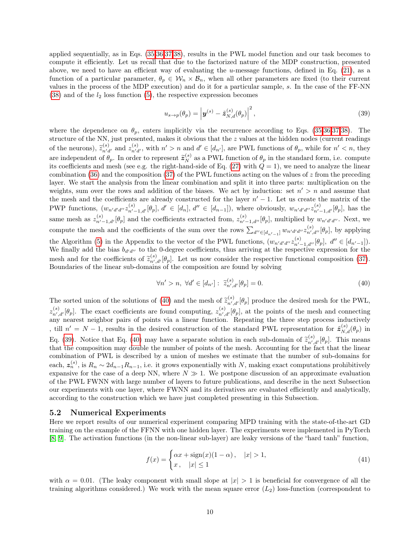applied sequentially, as in Eqs. [\(35,](#page-8-4)[36,](#page-8-2)[37,](#page-8-3)[38\)](#page-8-5), results in the PWL model function and our task becomes to compute it efficiently. Let us recall that due to the factorized nature of the MDP construction, presented above, we need to have an efficient way of evaluating the  $u$ -message functions, defined in Eq. [\(21\)](#page-4-7), as a function of a particular parameter,  $\theta_p \in W_n \times \mathcal{B}_n$ , when all other parameters are fixed (to their current values in the process of the MDP execution) and do it for a particular sample, s. In the case of the FF-NN  $(38)$  and of the  $l_2$  loss function  $(5)$ , the respective expression becomes

<span id="page-9-2"></span>
$$
u_{s \to p}(\theta_p) = \left| \boldsymbol{y}^{(s)} - \tilde{\boldsymbol{z}}_{N,d}^{(s)}(\theta_p) \right|^2, \tag{39}
$$

where the dependence on  $\theta_p$ , enters implicitly via the recurrence according to Eqs. [\(35,](#page-8-4)[36,](#page-8-2)[37](#page-8-3)[,38\)](#page-8-5). The structure of the NN, just presented, makes it obvious that the z values at the hidden nodes (current readings of the neurons),  $\tilde{z}_{n'd'}^{(s)}$  and  $z_{n'd'}^{(s)}$ , with  $n' > n$  and  $d' \in [d_{n'}]$ , are PWL functions of  $\theta_p$ , while for  $n' < n$ , they are independent of  $\theta_p$ . In order to represent  $\tilde{z}_N^{(s)}$  as a PWL function of  $\theta_p$  in the standard form, i.e. compute its coefficients and mesh (see e.g. the right-hand-side of Eq.  $(27)$  with  $\dot{Q} = 1$ ), we need to analyze the linear combination [\(36\)](#page-8-2) and the composition [\(37\)](#page-8-3) of the PWL functions acting on the values of  $z$  from the preceding layer. We start the analysis from the linear combination and split it into three parts: multiplication on the weights, sum over the rows and addition of the biases. We act by induction: set  $n' > n$  and assume that the mesh and the coefficients are already constructed for the layer  $n' - 1$ . Let us create the matrix of the PWP functions,  $(w_{n'd'd''}z_{n'-1,d'}^{(s)}[\theta_p], d' \in [d_n], d'' \in [d_{n-1}])$ , where obviously,  $w_{n'd'd''}z_{n'-1,d'}^{(s)}[\theta_p]$ , has the same mesh as  $z_{n'-1,d'}^{(s)}[\theta_p]$  and the coefficients extracted from,  $z_{n'-1,d''}^{(s)}[\theta_p]$ , multiplied by  $w_{n'd'd''}$ . Next, we compute the mesh and the coefficients of the sum over the rows  $\sum_{d'' \in [d_{n'-1}]} w_{n'd'd''} z^{(s)}_{n',d''} [\theta_p]$ , by applying the Algorithm [\(5\)](#page-12-1) in the Appendix to the vector of the PWL functions,  $(w_{n'd'd''} z_{n'-1,d''}^{(s)} [\theta_p], d'' \in [d_{n'-1}]).$ We finally add the bias  $b_{d'd''}$  to the 0-degree coefficients, thus arriving at the respective expression for the mesh and for the coefficients of  $\tilde{z}_{n',d'}^{(s)}[\theta_p]$ . Let us now consider the respective functional composition [\(37\)](#page-8-3). Boundaries of the linear sub-domains of the composition are found by solving

<span id="page-9-1"></span>
$$
\forall n' > n, \ \forall d' \in [d_{n'}]: \ \widetilde{z}_{n',d'}^{(s)}[\theta_p] = 0. \tag{40}
$$

The sorted union of the solutions of [\(40\)](#page-9-1) and the mesh of  $\tilde{z}_{n',d'}^{(s)}[\theta_p]$  produce the desired mesh for the PWL,  $z_{n',d'}^{(s)}[\theta_p]$ . The exact coefficients are found computing,  $z_{n',d'}^{(s)}[\theta_p]$ , at the points of the mesh and connecting any nearest neighbor pairs of points via a linear function. Repeating the three step process inductively , till  $n' = N - 1$ , results in the desired construction of the standard PWL representation for  $\tilde{z}_{N,d}^{(s)}(\theta_p)$  in Eq. [\(39\)](#page-9-2). Notice that Eq. [\(40\)](#page-9-1) may have a separate solution in each sub-domain of  $\tilde{z}_{n',d'}^{(s)}[\theta_p]$ . This means that the composition may double the number of points of the mesh. Accounting for the fact that the linear combination of PWL is described by a union of meshes we estimate that the number of sub-domains for each,  $z_n^{(s)}$ , is  $R_n \sim 2d_{n-1}R_{n-1}$ , i.e. it grows exponentially with N, making exact computations prohibitively expansive for the case of a deep NN, where  $N \gg 1$ . We postpone discussion of an approximate evaluation of the PWL FWNN with large number of layers to future publications, and describe in the next Subsection our experiments with one layer, where FWNN and its derivatives are evaluated efficiently and analytically, according to the construction which we have just completed presenting in this Subsection.

#### <span id="page-9-0"></span>5.2 Numerical Experiments

Here we report results of our numerical experiment comparing MPD training with the state-of-the-art GD training on the example of the FFNN with one hidden layer. The experiments were implemented in PyTorch [\[8,](#page-13-7) [9\]](#page-13-8). The activation functions (in the non-linear sub-layer) are leaky versions of the "hard tanh" function,

$$
f(x) = \begin{cases} \alpha x + \text{sign}(x)(1 - \alpha), & |x| > 1, \\ x, & |x| \le 1 \end{cases} \tag{41}
$$

with  $\alpha = 0.01$ . (The leaky component with small slope at  $|x| > 1$  is beneficial for convergence of all the training algorithms considered.) We work with the mean square error  $(L_2)$  loss-function (correspondent to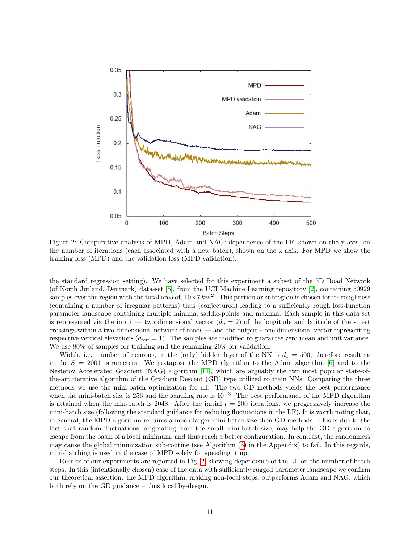

<span id="page-10-0"></span>Figure 2: Comparative analysis of MPD, Adam and NAG: dependence of the LF, shown on the y axis, on the number of iterations (each associated with a new batch), shown on the x axis. For MPD we show the training loss (MPD) and the validation loss (MPD validation).

the standard regression setting). We have selected for this experiment a subset of the 3D Road Network (of North Jutland, Denmark) data-set [\[5\]](#page-13-9), from the UCI Machine Learning repository [\[2\]](#page-13-0), containing 50929 samples over the region with the total area of,  $10\times7 km^2$ . This particular subregion is chosen for its roughness (containing a number of irregular patterns) thus (conjectured) leading to a sufficiently rough loss-function parameter landscape containing multiple minima, saddle-points and maxima. Each sample in this data set is represented via the input — two dimensional vector  $(d_0 = 2)$  of the longitude and latitude of the street crossings within a two-dimensional network of roads — and the output – one dimensional vector representing respective vertical elevations  $(d_{\text{out}} = 1)$ . The samples are modified to guarantee zero mean and unit variance. We use 80% of samples for training and the remaining 20% for validation.

Width, i.e. number of neurons, in the (only) hidden layer of the NN is  $d_1 = 500$ , therefore resulting in the  $S = 2001$  parameters. We juxtapose the MPD algorithm to the Adam algorithm [\[6\]](#page-13-10) and to the Nesterov Accelerated Gradient (NAG) algorithm [\[11\]](#page-14-1), which are arguably the two most popular state-ofthe-art iterative algorithm of the Gradient Descent (GD) type utilized to train NNs. Comparing the three methods we use the mini-batch optimization for all. The two GD methods yields the best performance when the mini-batch size is 256 and the learning rate is  $10^{-3}$ . The best performance of the MPD algorithm is attained when the min-batch is 2048. After the initial  $t = 200$  iterations, we progressively increase the mini-batch size (following the standard guidance for reducing fluctuations in the LF). It is worth noting that, in general, the MPD algorithm requires a much larger mini-batch size then GD methods. This is due to the fact that random fluctuations, originating from the small mini-batch size, may help the GD algorithm to escape from the basin of a local minimum, and thus reach a better configuration. In contrast, the randomness may cause the global minimization sub-routine (see Algorithm [\(6\)](#page-13-6) in the Appendix) to fail. In this regards, mini-batching is used in the case of MPD solely for speeding it up.

Results of our experiments are reported in Fig. [2,](#page-10-0) showing dependence of the LF on the number of batch steps. In this (intentionally chosen) case of the data with sufficiently rugged parameter landscape we confirm our theoretical assertion: the MPD algorithm, making non-local steps, outperforms Adam and NAG, which both rely on the GD guidance – thus local by-design.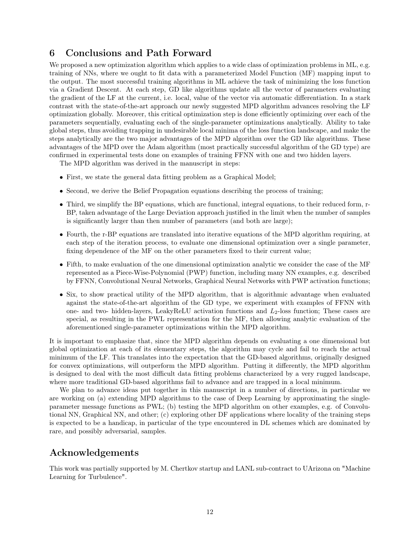# 6 Conclusions and Path Forward

We proposed a new optimization algorithm which applies to a wide class of optimization problems in ML, e.g. training of NNs, where we ought to fit data with a parameterized Model Function (MF) mapping input to the output. The most successful training algorithms in ML achieve the task of minimizing the loss function via a Gradient Descent. At each step, GD like algorithms update all the vector of parameters evaluating the gradient of the LF at the current, i.e. local, value of the vector via automatic differentiation. In a stark contrast with the state-of-the-art approach our newly suggested MPD algorithm advances resolving the LF optimization globally. Moreover, this critical optimization step is done efficiently optimizing over each of the parameters sequentially, evaluating each of the single-parameter optimizations analytically. Ability to take global steps, thus avoiding trapping in undesirable local minima of the loss function landscape, and make the steps analytically are the two major advantages of the MPD algorithm over the GD like algorithms. These advantages of the MPD over the Adam algorithm (most practically successful algorithm of the GD type) are confirmed in experimental tests done on examples of training FFNN with one and two hidden layers.

The MPD algorithm was derived in the manuscript in steps:

- First, we state the general data fitting problem as a Graphical Model;
- Second, we derive the Belief Propagation equations describing the process of training;
- Third, we simplify the BP equations, which are functional, integral equations, to their reduced form, r-BP, taken advantage of the Large Deviation approach justified in the limit when the number of samples is significantly larger than then number of parameters (and both are large);
- Fourth, the r-BP equations are translated into iterative equations of the MPD algorithm requiring, at each step of the iteration process, to evaluate one dimensional optimization over a single parameter, fixing dependence of the MF on the other parameters fixed to their current value;
- Fifth, to make evaluation of the one dimensional optimization analytic we consider the case of the MF represented as a Piece-Wise-Polynomial (PWP) function, including many NN examples, e.g. described by FFNN, Convolutional Neural Networks, Graphical Neural Networks with PWP activation functions;
- Six, to show practical utility of the MPD algorithm, that is algorithmic advantage when evaluated against the state-of-the-art algorithm of the GD type, we experiment with examples of FFNN with one- and two- hidden-layers, LeakyReLU activation functions and  $L_2$ -loss function; These cases are special, as resulting in the PWL representation for the MF, then allowing analytic evaluation of the aforementioned single-parameter optimizations within the MPD algorithm.

It is important to emphasize that, since the MPD algorithm depends on evaluating a one dimensional but global optimization at each of its elementary steps, the algorithm may cycle and fail to reach the actual minimum of the LF. This translates into the expectation that the GD-based algorithms, originally designed for convex optimizations, will outperform the MPD algorithm. Putting it differently, the MPD algorithm is designed to deal with the most difficult data fitting problems characterized by a very rugged landscape, where more traditional GD-based algorithms fail to advance and are trapped in a local minimum.

We plan to advance ideas put together in this manuscript in a number of directions, in particular we are working on (a) extending MPD algorithms to the case of Deep Learning by approximating the singleparameter message functions as PWL; (b) testing the MPD algorithm on other examples, e.g. of Convolutional NN, Graphical NN, and other; (c) exploring other DF applications where locality of the training steps is expected to be a handicap, in particular of the type encountered in DL schemes which are dominated by rare, and possibly adversarial, samples.

## Acknowledgements

This work was partially supported by M. Chertkov startup and LANL sub-contract to UArizona on "Machine Learning for Turbulence".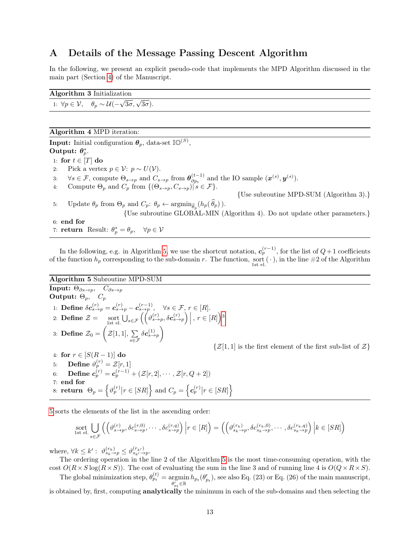# <span id="page-12-0"></span>A Details of the Message Passing Descent Algorithm

In the following, we present an explicit pseudo-code that implements the MPD Algorithm discussed in the main part (Section [4\)](#page-5-5) of the Manuscript.

#### <span id="page-12-2"></span>Algorithm 3 Initialization

1:  $\forall p \in \mathcal{V}, \quad \theta_p \sim \mathcal{U}( \sqrt{3\sigma}, \sqrt{3\sigma}$ ).

### <span id="page-12-3"></span>Algorithm 4 MPD iteration:

**Input:** Initial configuration  $\boldsymbol{\theta}_p$ , data-set  $\mathbb{IO}^{(S)}$ , Output:  $\theta_p^*$ . 1: for  $t \in [T]$  do 2: Pick a vertex  $p \in \mathcal{V}: p \sim U(\mathcal{V}).$ 3:  $\forall s \in \mathcal{F}$ , compute  $\Theta_{s \to p}$  and  $C_{s \to p}$  from  $\boldsymbol{\theta}_{\partial p_i}^{(t-1)}$  $\vartheta_{p_t}^{(t-1)}$  and the IO sample  $(\boldsymbol{x}^{(s)}, \boldsymbol{y}^{(s)})$ . 4: Compute  $\Theta_p$  and  $C_p$  from  $\{(\Theta_{s\to p}, C_{s\to p}) | s \in \mathcal{F}\}.$ {Use subroutine MPD-SUM (Algorithm 3).} 5: Update  $\theta_p$  from  $\Theta_p$  and  $C_p$ :  $\theta_p \leftarrow \operatorname{argmin}_{\widehat{\theta}_p}(h_p(\theta_p)).$ {Use subroutine GLOBAL-MIN (Algorithm 4). Do not update other parameters.} 6: end for

7: **return** Result:  $\theta_p^* = \theta_p$ ,  $\forall p \in \mathcal{V}$ 

In the following, e.g. in Algorithm [5,](#page-12-1) we use the shortcut notation,  $c_p^{(r-1)}$ , for the list of  $Q+1$  coefficients of the function  $h_p$  corresponding to the sub-domain r. The function, sort ( $\cdot$ ), in the line #2 of the Algorithm

#### <span id="page-12-1"></span>Algorithm 5 Subroutine MPD-SUM

Input:  $\Theta_{\partial s \to p}$ ,  $C_{\partial s \to p}$ **Output:**  $\Theta_p$ ,  $C_p$ 1: Define  $\delta c_{s\to p}^{(r)} = c_{s\to p}^{(r)} - c_{s\to p}^{(r-1)}$ ,  $\forall s \in \mathcal{F}, r \in [R]$ . 2: **Define**  $\mathcal{Z} = \operatorname*{sort}_{\text{1st el.}} \bigcup_{s \in \mathcal{F}} \left( \left( \vartheta_{s \to p}^{(r)}, \delta c_{s \to p}^{(r)} \right) \Big|, r \in [R] \right)^3$  $\mathcal{Z} = \operatorname*{sort}_{\text{1st el.}} \bigcup_{s \in \mathcal{F}} \left( \left( \vartheta_{s \to p}^{(r)}, \delta c_{s \to p}^{(r)} \right) \Big|, r \in [R] \right)^3$ 3: Define  $\mathcal{Z}_0 = \Big( \mathcal{Z}[1,1],\ \sum \Big)$ s∈F  $\delta\bm{c}_{s\rightarrow p}^{(1)}\Big)$  $\{\mathcal{Z}[1,1]$  is the first element of the first sub-list of  $\mathcal{Z}\}$ 4: for  $r \in [S(R-1)]$  do 5: **Define**  $\vartheta_p^{(r)} = \mathcal{Z}[r,1]$ 6: Define  $\boldsymbol{c}_{p}^{(r)}=\boldsymbol{c}_{p}^{(r-1)}+(\mathcal{Z}[r,2],\cdots,\mathcal{Z}[r,Q+2])$ 7: end for  $\text{ 8: return }\Theta_p=\left\{\vartheta_p^{(r)} \big| r\in [SR]\right\} \text{ and } C_p=\left\{\bm{c}_p^{(r)} \big| r\in [SR]\right\}$ 

[5](#page-12-1) sorts the elements of the list in the ascending order:

sort 
$$
\bigcup_{s \in \mathcal{F}} \left( \left( \vartheta_{s \to p}^{(r)}, \delta c_{s \to p}^{(r,0)}, \cdots, \delta c_{s \to p}^{(r,q)} \right) \middle| r \in [R] \right) = \left( \left( \vartheta_{s_k \to p}^{(r_k)}, \delta c_{s_k \to p}^{(r_k,0)}, \cdots, \delta c_{s_k \to p}^{(r_k, q)} \right) \middle| k \in [SR] \right)
$$

where,  $\forall k \leq k' : \vartheta_{s_k \to p}^{(r_k)} \leq \vartheta_{s_{k'} \to p}^{(r_{k'})}$ .

The ordering operation in the line 2 of the Algorithm [5](#page-12-1) is the most time-consuming operation, with the cost  $O(R \times S \log(R \times S))$ . The cost of evaluating the sum in the line 3 and of running line 4 is  $O(Q \times R \times S)$ .

The global minimization step,  $\theta_{p_t}^{(t)} = \operatorname*{argmin}_{p_t} h_{p_t}(\theta_{p_t}'),$  see also Eq. (23) or Eq. (26) of the main manuscript,  $\widetilde{\theta_{p_t}'} \in \mathbb{R}$ 

is obtained by, first, computing analytically the minimum in each of the sub-domains and then selecting the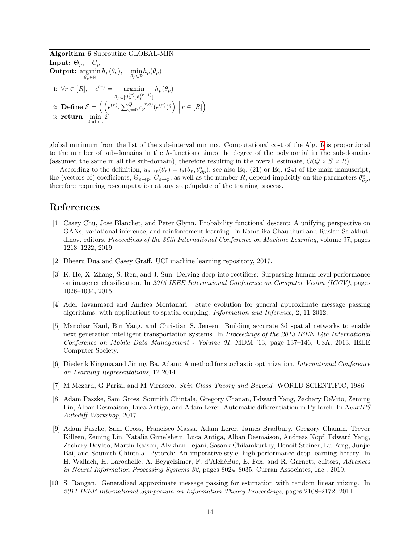<span id="page-13-6"></span>Algorithm 6 Subroutine GLOBAL-MIN

**Input:**  $\Theta_p$ ,  $C_p$  $\textbf{Output: } \operatornamewithlimits{argmin}_{\theta_p \in \mathbb{R}} h_p(\theta_p), \quad \min_{\theta_p \in \mathbb{R}} h_p(\theta_p)$  $\boldsymbol{\theta}_p\!\in\!\mathbb{R}$ 1:  $\forall r \in [R], \quad \epsilon^{(r)} = \text{argmin}$  $\theta_p \in [\vartheta_p^{(r)}, \vartheta_p^{(r+1)}]$  $h_p(\theta_p)$ 2: **Define**  $\mathcal{E} = \left( \left( \epsilon^{(r)}, \sum_{q=0}^{Q} c_p^{(r,q)} (\epsilon^{(r)})^q \right) \middle| r \in [R] \right)$ 3: return  $\min_{2nd \text{ el.}} \mathcal{E}$ 

global minimum from the list of the sub-interval minima. Computational cost of the Alg. [6](#page-13-6) is proportional to the number of sub-domains in the h-functions times the degree of the polynomial in the sub-domains (assumed the same in all the sub-domain), therefore resulting in the overall estimate,  $O(Q \times S \times R)$ .

According to the definition,  $u_{s\to p}(\theta_p) = l_s(\theta_p, \theta_{\partial p}^*)$ , see also Eq. (21) or Eq. (24) of the main manuscript, the (vectors of) coefficients,  $\Theta_{s\to p}$ ,  $C_{s\to p}$ , as well as the number R, depend implicitly on the parameters  $\theta_{\partial p}^*$ , therefore requiring re-computation at any step/update of the training process.

# References

- <span id="page-13-1"></span>[1] Casey Chu, Jose Blanchet, and Peter Glynn. Probability functional descent: A unifying perspective on GANs, variational inference, and reinforcement learning. In Kamalika Chaudhuri and Ruslan Salakhutdinov, editors, Proceedings of the 36th International Conference on Machine Learning, volume 97, pages 1213–1222, 2019.
- <span id="page-13-0"></span>[2] Dheeru Dua and Casey Graff. UCI machine learning repository, 2017.
- <span id="page-13-5"></span>[3] K. He, X. Zhang, S. Ren, and J. Sun. Delving deep into rectifiers: Surpassing human-level performance on imagenet classification. In 2015 IEEE International Conference on Computer Vision (ICCV), pages 1026–1034, 2015.
- <span id="page-13-4"></span>[4] Adel Javanmard and Andrea Montanari. State evolution for general approximate message passing algorithms, with applications to spatial coupling. Information and Inference, 2, 11 2012.
- <span id="page-13-9"></span>[5] Manohar Kaul, Bin Yang, and Christian S. Jensen. Building accurate 3d spatial networks to enable next generation intelligent transportation systems. In Proceedings of the 2013 IEEE 14th International Conference on Mobile Data Management - Volume 01, MDM '13, page 137–146, USA, 2013. IEEE Computer Society.
- <span id="page-13-10"></span>[6] Diederik Kingma and Jimmy Ba. Adam: A method for stochastic optimization. International Conference on Learning Representations, 12 2014.
- <span id="page-13-2"></span>[7] M Mezard, G Parisi, and M Virasoro. Spin Glass Theory and Beyond. WORLD SCIENTIFIC, 1986.
- <span id="page-13-7"></span>[8] Adam Paszke, Sam Gross, Soumith Chintala, Gregory Chanan, Edward Yang, Zachary DeVito, Zeming Lin, Alban Desmaison, Luca Antiga, and Adam Lerer. Automatic differentiation in PyTorch. In NeurIPS Autodiff Workshop, 2017.
- <span id="page-13-8"></span>[9] Adam Paszke, Sam Gross, Francisco Massa, Adam Lerer, James Bradbury, Gregory Chanan, Trevor Killeen, Zeming Lin, Natalia Gimelshein, Luca Antiga, Alban Desmaison, Andreas Kopf, Edward Yang, Zachary DeVito, Martin Raison, Alykhan Tejani, Sasank Chilamkurthy, Benoit Steiner, Lu Fang, Junjie Bai, and Soumith Chintala. Pytorch: An imperative style, high-performance deep learning library. In H. Wallach, H. Larochelle, A. Beygelzimer, F. d'AlchéBuc, E. Fox, and R. Garnett, editors, Advances in Neural Information Processing Systems 32, pages 8024–8035. Curran Associates, Inc., 2019.
- <span id="page-13-3"></span>[10] S. Rangan. Generalized approximate message passing for estimation with random linear mixing. In 2011 IEEE International Symposium on Information Theory Proceedings, pages 2168–2172, 2011.